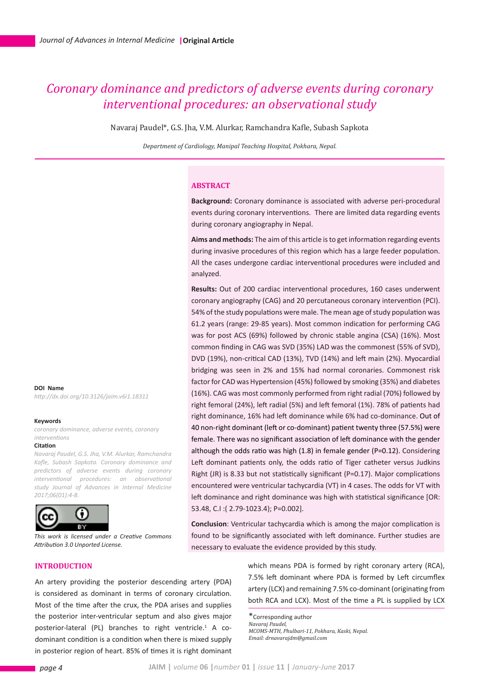# *Coronary dominance and predictors of adverse events during coronary interventional procedures: an observational study*

Navaraj Paudel\*, G.S. Jha, V.M. Alurkar, Ramchandra Kafle, Subash Sapkota

*Department of Cardiology, Manipal Teaching Hospital, Pokhara, Nepal.*

## **ABSTRACT**

**Background:** Coronary dominance is associated with adverse peri-procedural events during coronary interventions. There are limited data regarding events during coronary angiography in Nepal.

**Aims and methods:** The aim of this article is to get information regarding events during invasive procedures of this region which has a large feeder population. All the cases undergone cardiac interventional procedures were included and analyzed.

**Results:** Out of 200 cardiac interventional procedures, 160 cases underwent coronary angiography (CAG) and 20 percutaneous coronary intervention (PCI). 54% of the study populations were male. The mean age of study population was 61.2 years (range: 29-85 years). Most common indication for performing CAG was for post ACS (69%) followed by chronic stable angina (CSA) (16%). Most common finding in CAG was SVD (35%) LAD was the commonest (55% of SVD), DVD (19%), non-critical CAD (13%), TVD (14%) and left main (2%). Myocardial bridging was seen in 2% and 15% had normal coronaries. Commonest risk factor for CAD was Hypertension (45%) followed by smoking (35%) and diabetes (16%). CAG was most commonly performed from right radial (70%) followed by right femoral (24%), left radial (5%) and left femoral (1%). 78% of patients had right dominance, 16% had left dominance while 6% had co-dominance. Out of 40 non-right dominant (left or co-dominant) patient twenty three (57.5%) were female. There was no significant association of left dominance with the gender although the odds ratio was high (1.8) in female gender (P=0.12). Considering Left dominant patients only, the odds ratio of Tiger catheter versus Judkins Right (JR) is 8.33 but not statistically significant (P=0.17). Major complications encountered were ventricular tachycardia (VT) in 4 cases. The odds for VT with left dominance and right dominance was high with statistical significance [OR: 53.48, C.I :( 2.79-1023.4); P=0.002].

**Conclusion**: Ventricular tachycardia which is among the major complication is found to be significantly associated with left dominance. Further studies are necessary to evaluate the evidence provided by this study.

> which means PDA is formed by right coronary artery (RCA), 7.5% left dominant where PDA is formed by Left circumflex artery (LCX) and remaining 7.5% co-dominant (originating from both RCA and LCX). Most of the time a PL is supplied by LCX

\*Corresponding author *Navaraj Paudel, MCOMS-MTH, Phulbari-11, Pokhara, Kaski, Nepal. Email: drnavarajdm@gmail.com*

**DOI Name** *http://dx.doi.org/10.3126/jaim.v6i1.18311*

#### **Keywords**

*coronary dominance, adverse events, coronary interventions* 

#### **Citation**

*Navaraj Paudel, G.S. Jha, V.M. Alurkar, Ramchandra Kafle, Subash Sapkota. Coronary dominance and predictors of adverse events during coronary interventional procedures: an observational study Journal of Advances in Internal Medicine 2017;06(01):4-8.* 



*This work is licensed under a Creative Commons Attribution 3.0 Unported License.*

## **INTRODUCTION**

An artery providing the posterior descending artery (PDA) is considered as dominant in terms of coronary circulation. Most of the time after the crux, the PDA arises and supplies the posterior inter-ventricular septum and also gives major posterior-lateral (PL) branches to right ventricle.<sup>1</sup> A codominant condition is a condition when there is mixed supply in posterior region of heart. 85% of times it is right dominant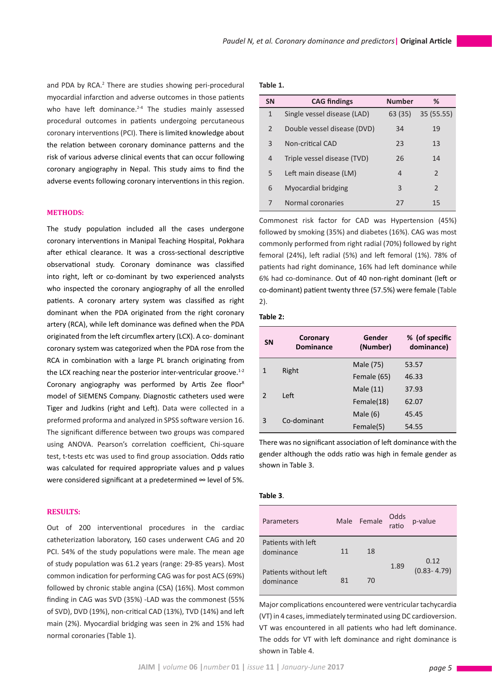and PDA by RCA.<sup>2</sup> There are studies showing peri-procedural myocardial infarction and adverse outcomes in those patients who have left dominance.<sup>2-4</sup> The studies mainly assessed procedural outcomes in patients undergoing percutaneous coronary interventions (PCI). There is limited knowledge about the relation between coronary dominance patterns and the risk of various adverse clinical events that can occur following coronary angiography in Nepal. This study aims to find the adverse events following coronary interventions in this region.

## **METHODS:**

The study population included all the cases undergone coronary interventions in Manipal Teaching Hospital, Pokhara after ethical clearance. It was a cross-sectional descriptive observational study. Coronary dominance was classified into right, left or co-dominant by two experienced analysts who inspected the coronary angiography of all the enrolled patients. A coronary artery system was classified as right dominant when the PDA originated from the right coronary artery (RCA), while left dominance was defined when the PDA originated from the left circumflex artery (LCX). A co- dominant coronary system was categorized when the PDA rose from the RCA in combination with a large PL branch originating from the LCX reaching near the posterior inter-ventricular groove. $1-2$ Coronary angiography was performed by Artis Zee floor<sup>R</sup> model of SIEMENS Company. Diagnostic catheters used were Tiger and Judkins (right and Left). Data were collected in a preformed proforma and analyzed in SPSS software version 16. The significant difference between two groups was compared using ANOVA. Pearson's correlation coefficient, Chi-square test, t-tests etc was used to find group association. Odds ratio was calculated for required appropriate values and p values were considered significant at a predetermined ∞ level of 5%.

## **RESULTS:**

Out of 200 interventional procedures in the cardiac catheterization laboratory, 160 cases underwent CAG and 20 PCI. 54% of the study populations were male. The mean age of study population was 61.2 years (range: 29-85 years). Most common indication for performing CAG was for post ACS (69%) followed by chronic stable angina (CSA) (16%). Most common finding in CAG was SVD (35%) -LAD was the commonest (55% of SVD), DVD (19%), non-critical CAD (13%), TVD (14%) and left main (2%). Myocardial bridging was seen in 2% and 15% had normal coronaries (Table 1).

### **Table 1.**

| <b>SN</b>      | <b>CAG findings</b>         | <b>Number</b> | %             |
|----------------|-----------------------------|---------------|---------------|
| $\mathbf{1}$   | Single vessel disease (LAD) | 63 (35)       | 35 (55.55)    |
| $\mathcal{P}$  | Double vessel disease (DVD) | 34            | 19            |
| 3              | Non-critical CAD            | 23            | 13            |
| $\overline{4}$ | Triple vessel disease (TVD) | 26            | 14            |
| 5              | Left main disease (LM)      | 4             | $\mathcal{P}$ |
| 6              | Myocardial bridging         | 3             | 2             |
| 7              | Normal coronaries           | 77            | 15            |

Commonest risk factor for CAD was Hypertension (45%) followed by smoking (35%) and diabetes (16%). CAG was most commonly performed from right radial (70%) followed by right femoral (24%), left radial (5%) and left femoral (1%). 78% of patients had right dominance, 16% had left dominance while 6% had co-dominance. Out of 40 non-right dominant (left or co-dominant) patient twenty three (57.5%) were female (Table 2).

#### **Table 2:**

| <b>SN</b>     | Coronary<br><b>Dominance</b> | Gender<br>(Number) | % (of specific<br>dominance) |
|---------------|------------------------------|--------------------|------------------------------|
| 1             | Right                        | Male (75)          | 53.57                        |
|               |                              | Female (65)        | 46.33                        |
| $\mathcal{P}$ | Left                         | Male (11)          | 37.93                        |
|               |                              | Female(18)         | 62.07                        |
| 3             | Co-dominant                  | Male $(6)$         | 45.45                        |
|               |                              | Female(5)          | 54.55                        |

There was no significant association of left dominance with the gender although the odds ratio was high in female gender as shown in Table 3.

## **Table 3**.

| Parameters                         |    | Male Female | Odds<br>ratio | p-value                 |
|------------------------------------|----|-------------|---------------|-------------------------|
| Patients with left<br>dominance    | 11 | 18          | 1.89          | 0.12<br>$(0.83 - 4.79)$ |
| Patients without left<br>dominance | 81 | 70          |               |                         |

Major complications encountered were ventricular tachycardia (VT) in 4 cases, immediately terminated using DC cardioversion. VT was encountered in all patients who had left dominance. The odds for VT with left dominance and right dominance is shown in Table 4.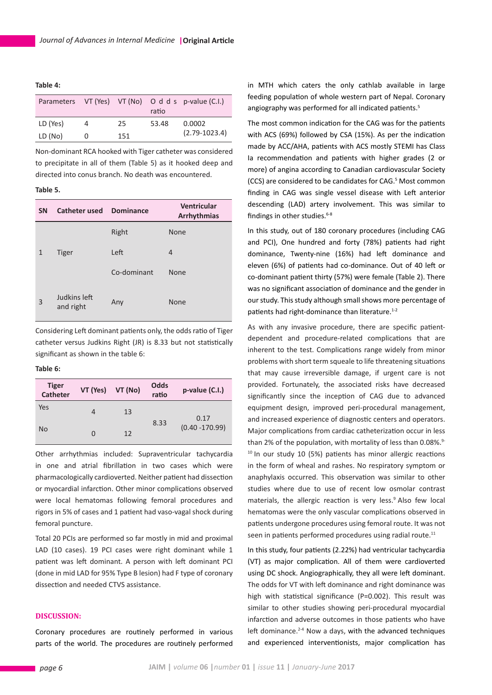**Table 4:**

|          |   |     | ratio | Parameters VT (Yes) VT (No) O d d s p-value (C.I.) |
|----------|---|-----|-------|----------------------------------------------------|
| LD (Yes) | 4 | 25  | 53.48 | 0.0002                                             |
| LD (No)  |   | 151 |       | $(2.79 - 1023.4)$                                  |

Non-dominant RCA hooked with Tiger catheter was considered to precipitate in all of them (Table 5) as it hooked deep and directed into conus branch. No death was encountered.

## **Table 5.**

| <b>SN</b> | Catheter used             | <b>Dominance</b> | Ventricular<br>Arrhythmias |
|-----------|---------------------------|------------------|----------------------------|
|           |                           | Right            | <b>None</b>                |
| 1         | <b>Tiger</b>              | Left             | 4                          |
|           |                           | Co-dominant      | <b>None</b>                |
| 3         | Judkins left<br>and right | Any              | None                       |

Considering Left dominant patients only, the odds ratio of Tiger catheter versus Judkins Right (JR) is 8.33 but not statistically significant as shown in the table 6:

#### **Table 6:**

| <b>Tiger</b><br><b>Catheter</b> | VT (Yes) | VT (No) | Odds<br>ratio | p-value (C.I.)    |
|---------------------------------|----------|---------|---------------|-------------------|
| Yes                             | 4        | 13      |               | 0.17              |
| No                              | 0        | 12      | 8.33          | $(0.40 - 170.99)$ |

Other arrhythmias included: Supraventricular tachycardia in one and atrial fibrillation in two cases which were pharmacologically cardioverted. Neither patient had dissection or myocardial infarction. Other minor complications observed were local hematomas following femoral procedures and rigors in 5% of cases and 1 patient had vaso-vagal shock during femoral puncture.

Total 20 PCIs are performed so far mostly in mid and proximal LAD (10 cases). 19 PCI cases were right dominant while 1 patient was left dominant. A person with left dominant PCI (done in mid LAD for 95% Type B lesion) had F type of coronary dissection and needed CTVS assistance.

## **DISCUSSION:**

Coronary procedures are routinely performed in various parts of the world. The procedures are routinely performed

in MTH which caters the only cathlab available in large feeding population of whole western part of Nepal. Coronary angiography was performed for all indicated patients.<sup>5</sup>

The most common indication for the CAG was for the patients with ACS (69%) followed by CSA (15%). As per the indication made by ACC/AHA, patients with ACS mostly STEMI has Class Ia recommendation and patients with higher grades (2 or more) of angina according to Canadian cardiovascular Society (CCS) are considered to be candidates for CAG.<sup>5</sup> Most common finding in CAG was single vessel disease with Left anterior descending (LAD) artery involvement. This was similar to findings in other studies.<sup>6-8</sup>

In this study, out of 180 coronary procedures (including CAG and PCI), One hundred and forty (78%) patients had right dominance, Twenty-nine (16%) had left dominance and eleven (6%) of patients had co-dominance. Out of 40 left or co-dominant patient thirty (57%) were female (Table 2). There was no significant association of dominance and the gender in our study. This study although small shows more percentage of patients had right-dominance than literature.<sup>1-2</sup>

As with any invasive procedure, there are specific patientdependent and procedure-related complications that are inherent to the test. Complications range widely from minor problems with short term squeale to life threatening situations that may cause irreversible damage, if urgent care is not provided. Fortunately, the associated risks have decreased significantly since the inception of CAG due to advanced equipment design, improved peri-procedural management, and increased experience of diagnostic centers and operators. Major complications from cardiac catheterization occur in less than 2% of the population, with mortality of less than 0.08%.<sup>9-</sup>  $10$  In our study 10 (5%) patients has minor allergic reactions in the form of wheal and rashes. No respiratory symptom or anaphylaxis occurred. This observation was similar to other studies where due to use of recent low osmolar contrast materials, the allergic reaction is very less.<sup>9</sup> Also few local hematomas were the only vascular complications observed in patients undergone procedures using femoral route. It was not seen in patients performed procedures using radial route.<sup>11</sup>

In this study, four patients (2.22%) had ventricular tachycardia (VT) as major complication. All of them were cardioverted using DC shock. Angiographically, they all were left dominant. The odds for VT with left dominance and right dominance was high with statistical significance (P=0.002). This result was similar to other studies showing peri-procedural myocardial infarction and adverse outcomes in those patients who have left dominance.<sup>2-4</sup> Now a days, with the advanced techniques and experienced interventionists, major complication has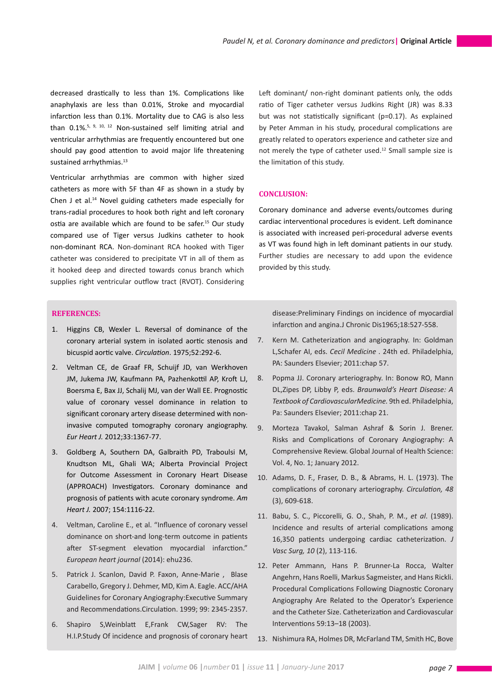decreased drastically to less than 1%. Complications like anaphylaxis are less than 0.01%, Stroke and myocardial infarction less than 0.1%. Mortality due to CAG is also less than  $0.1\%$ <sup>5, 9, 10, 12</sup> Non-sustained self limiting atrial and ventricular arrhythmias are frequently encountered but one should pay good attention to avoid major life threatening sustained arrhythmias.<sup>13</sup>

Ventricular arrhythmias are common with higher sized catheters as more with 5F than 4F as shown in a study by Chen J et al.14 Novel guiding catheters made especially for trans-radial procedures to hook both right and left coronary ostia are available which are found to be safer.<sup>15</sup> Our study compared use of Tiger versus Judkins catheter to hook non-dominant RCA. Non-dominant RCA hooked with Tiger catheter was considered to precipitate VT in all of them as it hooked deep and directed towards conus branch which supplies right ventricular outflow tract (RVOT). Considering Left dominant/ non-right dominant patients only, the odds ratio of Tiger catheter versus Judkins Right (JR) was 8.33 but was not statistically significant (p=0.17). As explained by Peter Amman in his study, procedural complications are greatly related to operators experience and catheter size and not merely the type of catheter used.<sup>12</sup> Small sample size is the limitation of this study.

## **CONCLUSION:**

Coronary dominance and adverse events/outcomes during cardiac interventional procedures is evident. Left dominance is associated with increased peri-procedural adverse events as VT was found high in left dominant patients in our study. Further studies are necessary to add upon the evidence provided by this study.

## **REFERENCES:**

- 1. Higgins CB, Wexler L. Reversal of dominance of the coronary arterial system in isolated aortic stenosis and bicuspid aortic valve. *Circulation*. 1975;52:292-6.
- 2. Veltman CE, de Graaf FR, Schuijf JD, van Werkhoven JM, Jukema JW, Kaufmann PA, Pazhenkottil AP, Kroft LJ, Boersma E, Bax JJ, Schalij MJ, van der Wall EE. Prognostic value of coronary vessel dominance in relation to significant coronary artery disease determined with noninvasive computed tomography coronary angiography. *Eur Heart J.* 2012;33:1367-77.
- 3. Goldberg A, Southern DA, Galbraith PD, Traboulsi M, Knudtson ML, Ghali WA; Alberta Provincial Project for Outcome Assessment in Coronary Heart Disease (APPROACH) Investigators. Coronary dominance and prognosis of patients with acute coronary syndrome. *Am Heart J.* 2007; 154:1116-22.
- 4. Veltman, Caroline E., et al. "Influence of coronary vessel dominance on short-and long-term outcome in patients after ST-segment elevation myocardial infarction." *European heart journal* (2014): ehu236.
- 5. Patrick J. Scanlon, David P. Faxon, Anne-Marie , Blase Carabello, Gregory J. Dehmer, MD, Kim A. Eagle. ACC/AHA Guidelines for Coronary Angiography:Executive Summary and Recommendations.Circulation. 1999; 99: 2345-2357.
- 6. Shapiro S,Weinblatt E,Frank CW,Sager RV: The H.I.P.Study Of incidence and prognosis of coronary heart

disease:Preliminary Findings on incidence of myocardial infarction and angina.J Chronic Dis1965;18:527-558.

- 7. Kern M. Catheterization and angiography. In: Goldman L,Schafer AI, eds. *Cecil Medicine* . 24th ed. Philadelphia, PA: Saunders Elsevier; 2011:chap 57.
- 8. Popma JJ. Coronary arteriography. In: Bonow RO, Mann DL,Zipes DP, Libby P, eds. *Braunwald's Heart Disease: A Textbook of CardiovascularMedicine.* 9th ed. Philadelphia, Pa: Saunders Elsevier; 2011:chap 21.
- 9. Morteza Tavakol, Salman Ashraf & Sorin J. Brener. Risks and Complications of Coronary Angiography: A Comprehensive Review. Global Journal of Health Science: Vol. 4, No. 1; January 2012.
- 10. Adams, D. F., Fraser, D. B., & Abrams, H. L. (1973). The complications of coronary arteriography. *Circulation, 48*  (3), 609-618.
- 11. Babu, S. C., Piccorelli, G. O., Shah, P. M., *et al*. (1989). Incidence and results of arterial complications among 16,350 patients undergoing cardiac catheterization. *J Vasc Surg, 10* (2), 113-116.
- 12. Peter Ammann, Hans P. Brunner-La Rocca, Walter Angehrn, Hans Roelli, Markus Sagmeister, and Hans Rickli. Procedural Complications Following Diagnostic Coronary Angiography Are Related to the Operator's Experience and the Catheter Size. Catheterization and Cardiovascular Interventions 59:13–18 (2003).
- 13. Nishimura RA, Holmes DR, McFarland TM, Smith HC, Bove